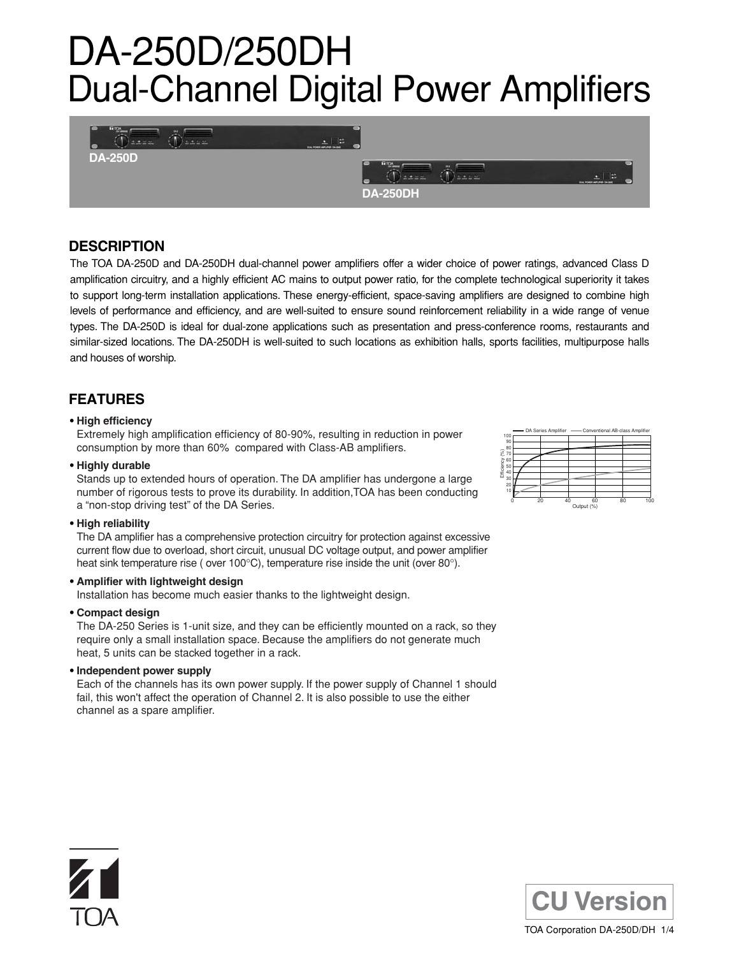# DA-250D/250DH Dual-Channel Digital Power Amplifiers



## **DESCRIPTION**

The TOA DA-250D and DA-250DH dual-channel power amplifiers offer a wider choice of power ratings, advanced Class D amplification circuitry, and a highly efficient AC mains to output power ratio, for the complete technological superiority it takes to support long-term installation applications. These energy-efficient, space-saving amplifiers are designed to combine high levels of performance and efficiency, and are well-suited to ensure sound reinforcement reliability in a wide range of venue types. The DA-250D is ideal for dual-zone applications such as presentation and press-conference rooms, restaurants and similar-sized locations. The DA-250DH is well-suited to such locations as exhibition halls, sports facilities, multipurpose halls and houses of worship.

## **FEATURES**

## **• High efficiency**

Extremely high amplification efficiency of 80-90%, resulting in reduction in power consumption by more than 60% compared with Class-AB amplifiers.

## **• Highly durable**

Stands up to extended hours of operation. The DA amplifier has undergone a large number of rigorous tests to prove its durability. In addition,TOA has been conducting a "non-stop driving test" of the DA Series.

### **• High reliability**

The DA amplifier has a comprehensive protection circuitry for protection against excessive current flow due to overload, short circuit, unusual DC voltage output, and power amplifier heat sink temperature rise (over 100°C), temperature rise inside the unit (over 80°).

## **• Amplifier with lightweight design**

Installation has become much easier thanks to the lightweight design.

### **• Compact design**

The DA-250 Series is 1-unit size, and they can be efficiently mounted on a rack, so they require only a small installation space. Because the amplifiers do not generate much heat, 5 units can be stacked together in a rack.

**• Independent power supply**

Each of the channels has its own power supply. If the power supply of Channel 1 should fail, this won't affect the operation of Channel 2. It is also possible to use the either channel as a spare amplifier.



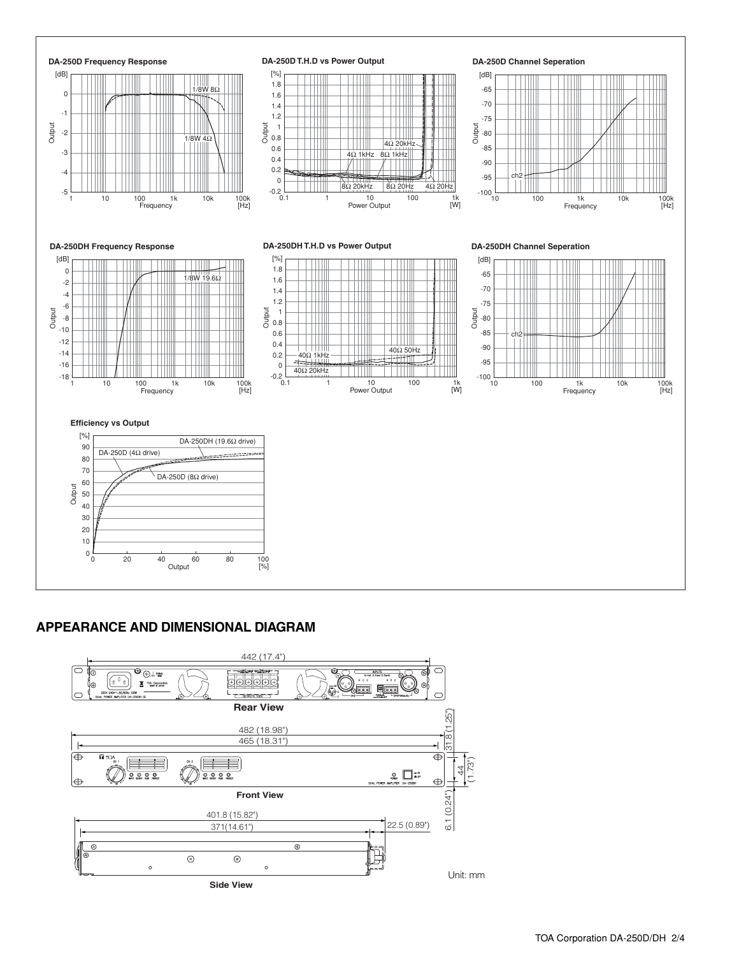

## **APPEARANCE AND DIMENSIONAL DIAGRAM**

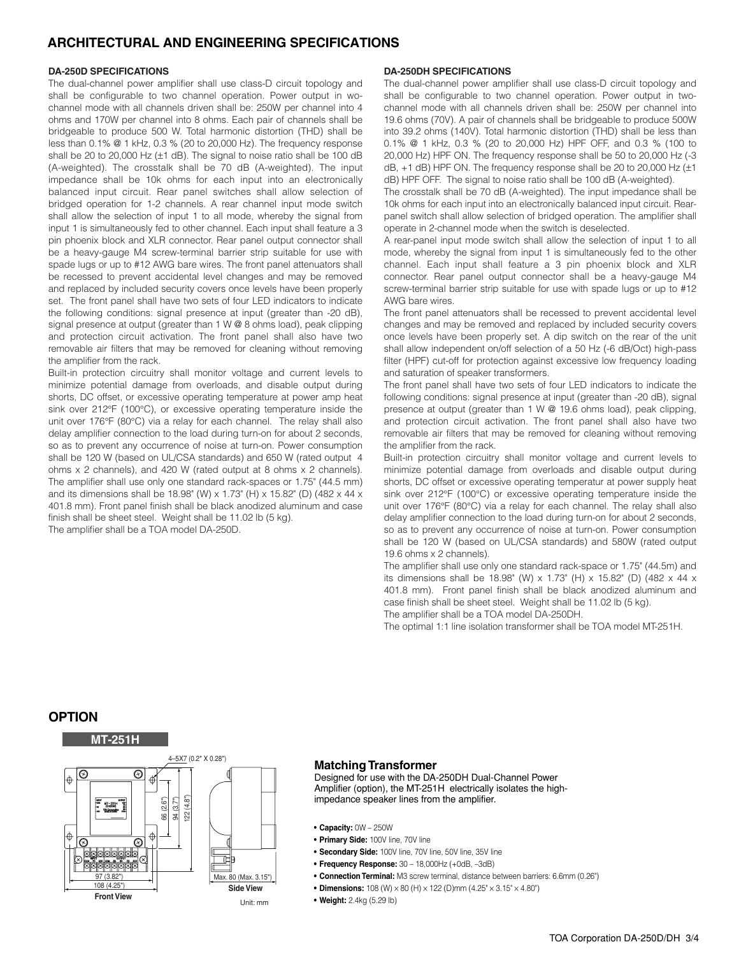## **ARCHITECTURAL AND ENGINEERING SPECIFICATIONS**

#### **DA-250D SPECIFICATIONS**

The dual-channel power amplifier shall use class-D circuit topology and shall be configurable to two channel operation. Power output in wochannel mode with all channels driven shall be: 250W per channel into 4 ohms and 170W per channel into 8 ohms. Each pair of channels shall be bridgeable to produce 500 W. Total harmonic distortion (THD) shall be less than 0.1% @ 1 kHz, 0.3 % (20 to 20,000 Hz). The frequency response shall be 20 to 20,000 Hz (±1 dB). The signal to noise ratio shall be 100 dB (A-weighted). The crosstalk shall be 70 dB (A-weighted). The input impedance shall be 10k ohms for each input into an electronically balanced input circuit. Rear panel switches shall allow selection of bridged operation for 1-2 channels. A rear channel input mode switch shall allow the selection of input 1 to all mode, whereby the signal from input 1 is simultaneously fed to other channel. Each input shall feature a 3 pin phoenix block and XLR connector. Rear panel output connector shall be a heavy-gauge M4 screw-terminal barrier strip suitable for use with spade lugs or up to #12 AWG bare wires. The front panel attenuators shall be recessed to prevent accidental level changes and may be removed and replaced by included security covers once levels have been properly set. The front panel shall have two sets of four LED indicators to indicate the following conditions: signal presence at input (greater than -20 dB), signal presence at output (greater than 1 W @ 8 ohms load), peak clipping and protection circuit activation. The front panel shall also have two removable air filters that may be removed for cleaning without removing the amplifier from the rack.

Built-in protection circuitry shall monitor voltage and current levels to minimize potential damage from overloads, and disable output during shorts, DC offset, or excessive operating temperature at power amp heat sink over 212°F (100°C), or excessive operating temperature inside the unit over 176°F (80°C) via a relay for each channel. The relay shall also delay amplifier connection to the load during turn-on for about 2 seconds, so as to prevent any occurrence of noise at turn-on. Power consumption shall be 120 W (based on UL/CSA standards) and 650 W (rated output 4 ohms x 2 channels), and 420 W (rated output at 8 ohms x 2 channels). The amplifier shall use only one standard rack-spaces or 1.75" (44.5 mm) and its dimensions shall be 18.98" (W) x 1.73" (H) x 15.82" (D) (482 x 44 x 401.8 mm). Front panel finish shall be black anodized aluminum and case finish shall be sheet steel. Weight shall be 11.02 lb (5 kg). The amplifier shall be a TOA model DA-250D.

#### **DA-250DH SPECIFICATIONS**

The dual-channel power amplifier shall use class-D circuit topology and shall be configurable to two channel operation. Power output in twochannel mode with all channels driven shall be: 250W per channel into 19.6 ohms (70V). A pair of channels shall be bridgeable to produce 500W into 39.2 ohms (140V). Total harmonic distortion (THD) shall be less than 0.1% @ 1 kHz, 0.3 % (20 to 20,000 Hz) HPF OFF, and 0.3 % (100 to 20,000 Hz) HPF ON. The frequency response shall be 50 to 20,000 Hz (-3  $dB$ ,  $+1$  dB) HPF ON. The frequency response shall be 20 to 20,000 Hz ( $\pm 1$ ) dB) HPF OFF. The signal to noise ratio shall be 100 dB (A-weighted).

The crosstalk shall be 70 dB (A-weighted). The input impedance shall be 10k ohms for each input into an electronically balanced input circuit. Rearpanel switch shall allow selection of bridged operation. The amplifier shall operate in 2-channel mode when the switch is deselected.

A rear-panel input mode switch shall allow the selection of input 1 to all mode, whereby the signal from input 1 is simultaneously fed to the other channel. Each input shall feature a 3 pin phoenix block and XLR connector. Rear panel output connector shall be a heavy-gauge M4 screw-terminal barrier strip suitable for use with spade lugs or up to #12 AWG bare wires.

The front panel attenuators shall be recessed to prevent accidental level changes and may be removed and replaced by included security covers once levels have been properly set. A dip switch on the rear of the unit shall allow independent on/off selection of a 50 Hz (-6 dB/Oct) high-pass filter (HPF) cut-off for protection against excessive low frequency loading and saturation of speaker transformers.

The front panel shall have two sets of four LED indicators to indicate the following conditions: signal presence at input (greater than -20 dB), signal presence at output (greater than 1 W @ 19.6 ohms load), peak clipping, and protection circuit activation. The front panel shall also have two removable air filters that may be removed for cleaning without removing the amplifier from the rack.

Built-in protection circuitry shall monitor voltage and current levels to minimize potential damage from overloads and disable output during shorts, DC offset or excessive operating temperatur at power supply heat sink over 212°F (100°C) or excessive operating temperature inside the unit over 176°F (80°C) via a relay for each channel. The relay shall also delay amplifier connection to the load during turn-on for about 2 seconds, so as to prevent any occurrence of noise at turn-on. Power consumption shall be 120 W (based on UL/CSA standards) and 580W (rated output 19.6 ohms x 2 channels).

The amplifier shall use only one standard rack-space or 1.75" (44.5m) and its dimensions shall be 18.98" (W) x 1.73" (H) x 15.82" (D) (482 x 44 x 401.8 mm). Front panel finish shall be black anodized aluminum and case finish shall be sheet steel. Weight shall be 11.02 lb (5 kg). The amplifier shall be a TOA model DA-250DH.

The optimal 1:1 line isolation transformer shall be TOA model MT-251H.

## **OPTION**



### **Matching Transformer**

Designed for use with the DA-250DH Dual-Channel Power Amplifier (option), the MT-251H electrically isolates the highimpedance speaker lines from the amplifier.

- **• Capacity:** 0W 250W
- **Primary Side:** 100V line, 70V line
- **• Secondary Side:** 100V line, 70V line, 50V line, 35V line
- **• Frequency Response:** 30 18,000Hz (+0dB, –3dB)
- **• Connection Terminal:** M3 screw terminal, distance between barriers: 6.6mm (0.26")
- **Dimensions:** 108 (W) × 80 (H) × 122 (D)mm (4.25" × 3.15" × 4.80")
- **Weight:** 2.4kg (5.29 lb)